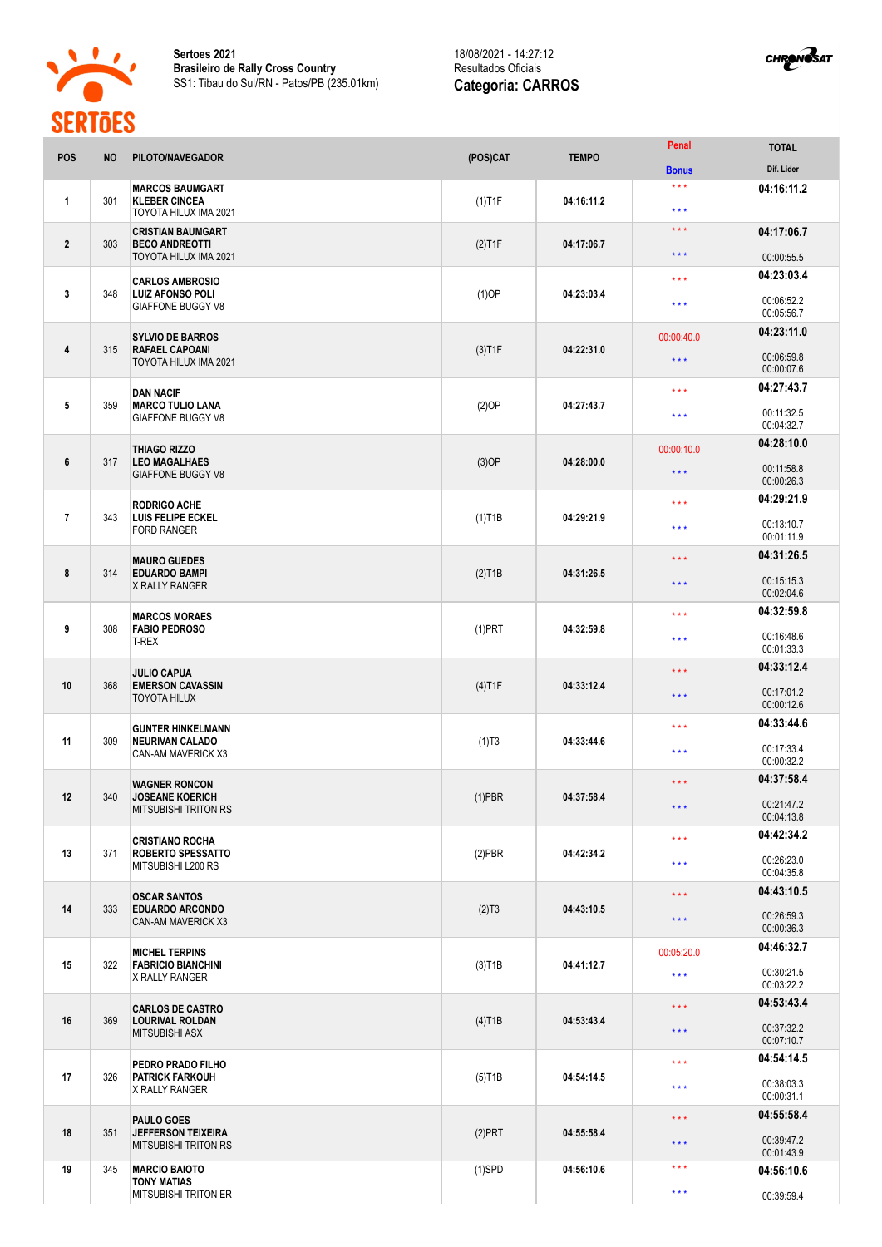

**Sertoes 2021 Brasileiro de Rally Cross Country** SS1: Tibau do Sul/RN - Patos/PB (235.01km)

## 18/08/2021 - 14:27:12 Resultados Oficiais **Categoria: CARROS**



| <b>POS</b>       | <b>NO</b> | PILOTO/NAVEGADOR                                                                  | (POS)CAT  | <b>TEMPO</b> | Penal                                                  | <b>TOTAL</b><br>Dif. Lider             |
|------------------|-----------|-----------------------------------------------------------------------------------|-----------|--------------|--------------------------------------------------------|----------------------------------------|
| 1                | 301       | <b>MARCOS BAUMGART</b><br><b>KLEBER CINCEA</b><br>TOYOTA HILUX IMA 2021           | $(1)$ T1F | 04:16:11.2   | <b>Bonus</b><br>$\star\star\star$<br>$\star\star\star$ | 04:16:11.2                             |
| $\overline{2}$   | 303       | <b>CRISTIAN BAUMGART</b><br><b>BECO ANDREOTTI</b><br><b>TOYOTA HILUX IMA 2021</b> | $(2)$ T1F | 04:17:06.7   | $\star\star\star$<br>$***$                             | 04:17:06.7<br>00:00:55.5               |
| 3                | 348       | <b>CARLOS AMBROSIO</b><br><b>LUIZ AFONSO POLI</b><br><b>GIAFFONE BUGGY V8</b>     | $(1)$ OP  | 04:23:03.4   | $\star\star\star$<br>$\star \star \star$               | 04:23:03.4<br>00:06:52.2               |
| 4                | 315       | <b>SYLVIO DE BARROS</b><br><b>RAFAEL CAPOANI</b>                                  | $(3)$ T1F | 04:22:31.0   | 00:00:40.0                                             | 00:05:56.7<br>04:23:11.0               |
|                  |           | TOYOTA HILUX IMA 2021<br><b>DAN NACIF</b>                                         |           |              | $\star \star \star$<br>$\star\star\star$               | 00:06:59.8<br>00:00:07.6<br>04:27:43.7 |
| 5                | 359       | <b>MARCO TULIO LANA</b><br><b>GIAFFONE BUGGY V8</b>                               | (2)OP     | 04:27:43.7   | $\star\star\star$                                      | 00:11:32.5<br>00:04:32.7               |
| $\boldsymbol{6}$ | 317       | <b>THIAGO RIZZO</b><br><b>LEO MAGALHAES</b><br><b>GIAFFONE BUGGY V8</b>           | $(3)$ OP  | 04:28:00.0   | 00:00:10.0<br>$\star$ $\star$ $\star$                  | 04:28:10.0<br>00:11:58.8<br>00:00:26.3 |
| $\overline{7}$   | 343       | <b>RODRIGO ACHE</b><br><b>LUIS FELIPE ECKEL</b><br><b>FORD RANGER</b>             | $(1)$ T1B | 04:29:21.9   | $\star\star\star$<br>$\star\star\star$                 | 04:29:21.9<br>00:13:10.7               |
| 8                | 314       | <b>MAURO GUEDES</b><br><b>EDUARDO BAMPI</b>                                       | $(2)$ T1B | 04:31:26.5   | $\star\star\star$                                      | 00:01:11.9<br>04:31:26.5<br>00:15:15.3 |
|                  | 308       | X RALLY RANGER<br><b>MARCOS MORAES</b><br><b>FABIO PEDROSO</b><br>T-REX           | $(1)$ PRT | 04:32:59.8   | $\star\star\star$<br>$\star \star \star$               | 00:02:04.6<br>04:32:59.8               |
| 9                |           |                                                                                   |           |              | $\star \star \star$<br>$\star \star \star$             | 00:16:48.6<br>00:01:33.3<br>04:33:12.4 |
| 10               | 368       | <b>JULIO CAPUA</b><br><b>EMERSON CAVASSIN</b><br><b>TOYOTA HILUX</b>              | $(4)$ T1F | 04:33:12.4   | $\star\star\star$                                      | 00:17:01.2<br>00:00:12.6               |
| 11               | 309       | <b>GUNTER HINKELMANN</b><br><b>NEURIVAN CALADO</b><br>CAN-AM MAVERICK X3          | (1)T3     | 04:33:44.6   | $\star\star\star$<br>$\star\star\star$                 | 04:33:44.6<br>00:17:33.4<br>00:00:32.2 |
| 12               | 340       | <b>WAGNER RONCON</b><br><b>JOSEANE KOERICH</b><br><b>MITSUBISHI TRITON RS</b>     | $(1)$ PBR | 04:37:58.4   | $\star\star\star$<br>$\star\star\star$                 | 04:37:58.4<br>00:21:47.2               |
| 13               | 371       | <b>CRISTIANO ROCHA</b><br><b>ROBERTO SPESSATTO</b><br>MITSUBISHI L200 RS          | $(2)$ PBR | 04:42:34.2   | $\star \star \star$<br>$\star \star \star$             | 00:04:13.8<br>04:42:34.2<br>00:26:23.0 |
| 14               | 333       | <b>OSCAR SANTOS</b><br><b>EDUARDO ARCONDO</b>                                     | (2)T3     | 04:43:10.5   | $\star \star \star$                                    | 00:04:35.8<br>04:43:10.5               |
|                  |           | CAN-AM MAVERICK X3<br><b>MICHEL TERPINS</b>                                       |           |              | $\star\star\star$<br>00:05:20.0                        | 00:26:59.3<br>00:00:36.3<br>04:46:32.7 |
| 15               | 322       | <b>FABRICIO BIANCHINI</b><br>X RALLY RANGER                                       | $(3)$ T1B | 04:41:12.7   | $\star\star\star$                                      | 00:30:21.5<br>00:03:22.2               |
| 16               | 369       | <b>CARLOS DE CASTRO</b><br><b>LOURIVAL ROLDAN</b><br><b>MITSUBISHI ASX</b>        | $(4)$ T1B | 04:53:43.4   | $\star\star\star$<br>$\star\star\star$                 | 04:53:43.4<br>00:37:32.2<br>00:07:10.7 |
| 17               | 326       | PEDRO PRADO FILHO<br><b>PATRICK FARKOUH</b><br>X RALLY RANGER                     | $(5)$ T1B | 04:54:14.5   | $\star\star\star$<br>$\star\star\star$                 | 04:54:14.5<br>00:38:03.3               |
| 18               | 351       | <b>PAULO GOES</b><br><b>JEFFERSON TEIXEIRA</b>                                    | $(2)$ PRT | 04:55:58.4   | $\star\star\star$                                      | 00:00:31.1<br>04:55:58.4               |
| 19               | 345       | <b>MITSUBISHI TRITON RS</b><br><b>MARCIO BAIOTO</b>                               | $(1)$ SPD | 04:56:10.6   | $\star\star\star$<br>$\star\star\star$                 | 00:39:47.2<br>00:01:43.9<br>04:56:10.6 |
|                  |           | <b>TONY MATIAS</b><br>MITSUBISHI TRITON ER                                        |           |              | $\star\star\star$                                      | 00:39:59.4                             |